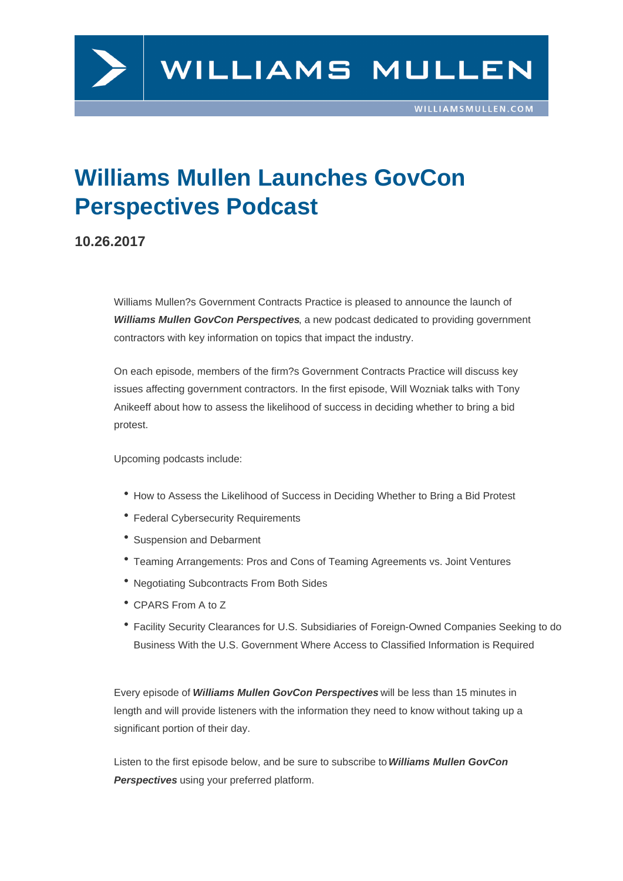## Williams Mullen Launches GovCon Perspectives Podcast

## 10.26.2017

Williams Mullen?s Government Contracts Practice is pleased to announce the launch of Williams Mullen GovCon Perspectives , a new podcast dedicated to providing government contractors with key information on topics that impact the industry.

On each episode, members of the firm?s Government Contracts Practice will discuss key issues affecting government contractors. In the first episode, Will Wozniak talks with Tony Anikeeff about how to assess the likelihood of success in deciding whether to bring a bid protest.

Upcoming podcasts include:

- How to Assess the Likelihood of Success in Deciding Whether to Bring a Bid Protest
- Federal Cybersecurity Requirements
- Suspension and Debarment
- Teaming Arrangements: Pros and Cons of Teaming Agreements vs. Joint Ventures
- Negotiating Subcontracts From Both Sides
- CPARS From A to Z
- Facility Security Clearances for U.S. Subsidiaries of Foreign-Owned Companies Seeking to do Business With the U.S. Government Where Access to Classified Information is Required

Every episode of Williams Mullen GovCon Perspectives will be less than 15 minutes in length and will provide listeners with the information they need to know without taking up a significant portion of their day.

Listen to the first episode below, and be sure to subscribe to Williams Mullen GovCon Perspectives using your preferred platform.